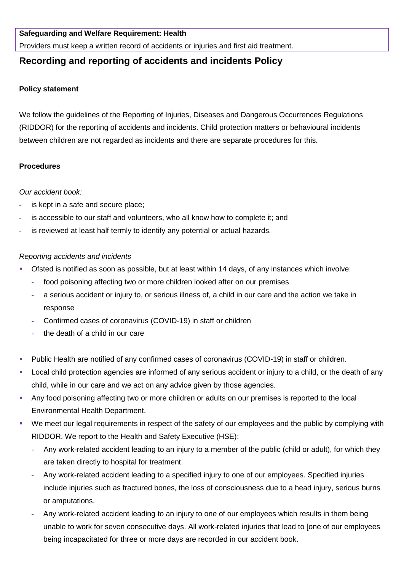#### **Safeguarding and Welfare Requirement: Health**

Providers must keep a written record of accidents or injuries and first aid treatment.

# **Recording and reporting of accidents and incidents Policy**

#### **Policy statement**

We follow the guidelines of the Reporting of Injuries, Diseases and Dangerous Occurrences Regulations (RIDDOR) for the reporting of accidents and incidents. Child protection matters or behavioural incidents between children are not regarded as incidents and there are separate procedures for this.

## **Procedures**

## *Our accident book:*

- **-** is kept in a safe and secure place;
- **-** is accessible to our staff and volunteers, who all know how to complete it; and
- **-** is reviewed at least half termly to identify any potential or actual hazards.

#### *Reporting accidents and incidents*

- Ofsted is notified as soon as possible, but at least within 14 days, of any instances which involve:
	- **-** food poisoning affecting two or more children looked after on our premises
	- **-** a serious accident or injury to, or serious illness of, a child in our care and the action we take in response
	- **-** Confirmed cases of coronavirus (COVID-19) in staff or children
	- **-** the death of a child in our care
- Public Health are notified of any confirmed cases of coronavirus (COVID-19) in staff or children.
- Local child protection agencies are informed of any serious accident or injury to a child, or the death of any child, while in our care and we act on any advice given by those agencies.
- Any food poisoning affecting two or more children or adults on our premises is reported to the local Environmental Health Department.
- We meet our legal requirements in respect of the safety of our employees and the public by complying with RIDDOR. We report to the Health and Safety Executive (HSE):
	- **-** Any work-related accident leading to an injury to a member of the public (child or adult), for which they are taken directly to hospital for treatment.
	- **-** Any work-related accident leading to a specified injury to one of our employees. Specified injuries include injuries such as fractured bones, the loss of consciousness due to a head injury, serious burns or amputations.
	- **-** Any work-related accident leading to an injury to one of our employees which results in them being unable to work for seven consecutive days. All work-related injuries that lead to [one of our employees being incapacitated for three or more days are recorded in our accident book.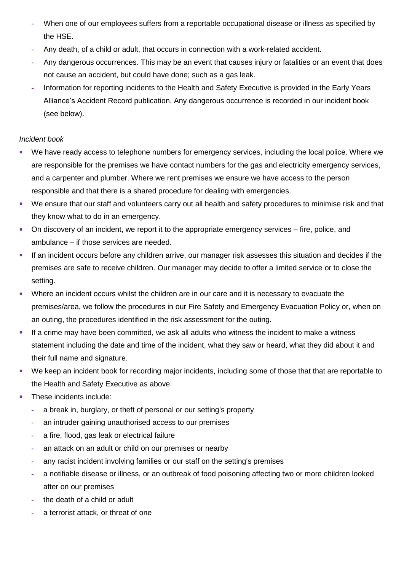- **-** When one of our employees suffers from a reportable occupational disease or illness as specified by the HSE.
- **-** Any death, of a child or adult, that occurs in connection with a work-related accident.
- **-** Any dangerous occurrences. This may be an event that causes injury or fatalities or an event that does not cause an accident, but could have done; such as a gas leak.
- **-** Information for reporting incidents to the Health and Safety Executive is provided in the Early Years Alliance's Accident Record publication. Any dangerous occurrence is recorded in our incident book (see below).

# *Incident book*

- We have ready access to telephone numbers for emergency services, including the local police. Where we are responsible for the premises we have contact numbers for the gas and electricity emergency services, and a carpenter and plumber. Where we rent premises we ensure we have access to the person responsible and that there is a shared procedure for dealing with emergencies.
- We ensure that our staff and volunteers carry out all health and safety procedures to minimise risk and that they know what to do in an emergency.
- On discovery of an incident, we report it to the appropriate emergency services fire, police, and ambulance – if those services are needed.
- If an incident occurs before any children arrive, our manager risk assesses this situation and decides if the premises are safe to receive children. Our manager may decide to offer a limited service or to close the setting.
- Where an incident occurs whilst the children are in our care and it is necessary to evacuate the premises/area, we follow the procedures in our Fire Safety and Emergency Evacuation Policy or, when on an outing, the procedures identified in the risk assessment for the outing.
- If a crime may have been committed, we ask all adults who witness the incident to make a witness statement including the date and time of the incident, what they saw or heard, what they did about it and their full name and signature.
- We keep an incident book for recording major incidents, including some of those that that are reportable to the Health and Safety Executive as above.
- These incidents include:
	- **-** a break in, burglary, or theft of personal or our setting's property
	- **-** an intruder gaining unauthorised access to our premises
	- **-** a fire, flood, gas leak or electrical failure
	- **-** an attack on an adult or child on our premises or nearby
	- **-** any racist incident involving families or our staff on the setting's premises
	- **-** a notifiable disease or illness, or an outbreak of food poisoning affecting two or more children looked after on our premises
	- **-** the death of a child or adult
	- **-** a terrorist attack, or threat of one